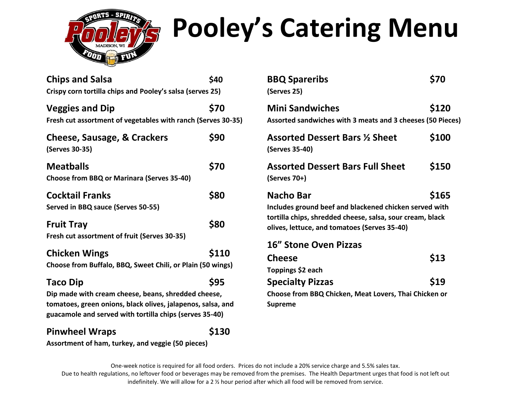

# **Pooley's Catering Menu**

| <b>Chips and Salsa</b><br>Crispy corn tortilla chips and Pooley's salsa (serves 25)                                                                                                              | \$40  |
|--------------------------------------------------------------------------------------------------------------------------------------------------------------------------------------------------|-------|
| <b>Veggies and Dip</b><br>Fresh cut assortment of vegetables with ranch (Serves 30-35)                                                                                                           | \$70  |
| <b>Cheese, Sausage, &amp; Crackers</b><br>(Serves 30-35)                                                                                                                                         | \$90  |
| <b>Meatballs</b><br><b>Choose from BBQ or Marinara (Serves 35-40)</b>                                                                                                                            | \$70  |
| <b>Cocktail Franks</b><br>Served in BBQ sauce (Serves 50-55)                                                                                                                                     | \$80  |
| <b>Fruit Tray</b><br>Fresh cut assortment of fruit (Serves 30-35)                                                                                                                                | \$80  |
| <b>Chicken Wings</b><br>Choose from Buffalo, BBQ, Sweet Chili, or Plain (50 wings)                                                                                                               | \$110 |
| <b>Taco Dip</b><br>Dip made with cream cheese, beans, shredded cheese,<br>tomatoes, green onions, black olives, jalapenos, salsa, and<br>guacamole and served with tortilla chips (serves 35-40) | \$95  |
| <b>Pinwheel Wraps</b>                                                                                                                                                                            | \$130 |

| <b>BBQ Spareribs</b><br>(Serves 25)                                                                                                                                              | \$70  |
|----------------------------------------------------------------------------------------------------------------------------------------------------------------------------------|-------|
| <b>Mini Sandwiches</b><br>Assorted sandwiches with 3 meats and 3 cheeses (50 Pieces)                                                                                             | \$120 |
| <b>Assorted Dessert Bars 1/2 Sheet</b><br>(Serves 35-40)                                                                                                                         | \$100 |
| <b>Assorted Dessert Bars Full Sheet</b><br>(Serves 70+)                                                                                                                          | \$150 |
| Nacho Bar<br>Includes ground beef and blackened chicken served with<br>tortilla chips, shredded cheese, salsa, sour cream, black<br>olives, lettuce, and tomatoes (Serves 35-40) | \$165 |
| <b>16" Stone Oven Pizzas</b>                                                                                                                                                     |       |
| <b>Cheese</b>                                                                                                                                                                    | \$13  |
| Toppings \$2 each                                                                                                                                                                |       |
| <b>Specialty Pizzas</b>                                                                                                                                                          | \$19  |
| Choose from BBQ Chicken, Meat Lovers, Thai Chicken or<br><b>Supreme</b>                                                                                                          |       |

**Assortment of ham, turkey, and veggie (50 pieces)**

One-week notice is required for all food orders. Prices do not include a 20% service charge and 5.5% sales tax.

Due to health regulations, no leftover food or beverages may be removed from the premises. The Health Department urges that food is not left out indefinitely. We will allow for a 2  $\frac{1}{2}$  hour period after which all food will be removed from service.